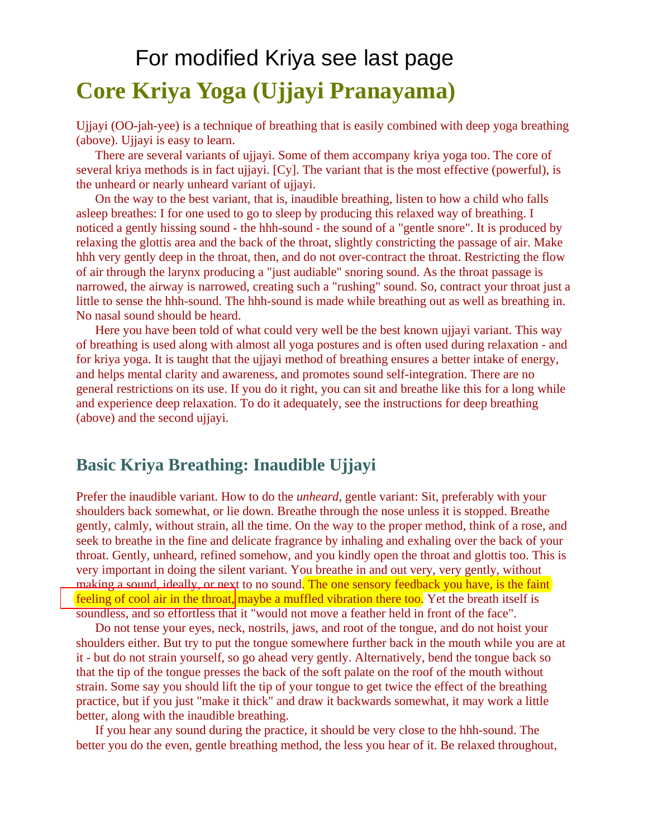# **Core Kriya Yoga (Ujjayi Pranayama)**  For modified Kriya see last page

Ujjayi (OO-jah-yee) is a technique of breathing that is easily combined with deep yoga breathing (above). Ujjayi is easy to learn.

 There are several variants of ujjayi. Some of them accompany kriya yoga too. The core of several kriya methods is in fact ujjayi. [Cy]. The variant that is the most effective (powerful), is the unheard or nearly unheard variant of ujjayi.

 On the way to the best variant, that is, inaudible breathing, listen to how a child who falls asleep breathes: I for one used to go to sleep by producing this relaxed way of breathing. I noticed a gently hissing sound - the hhh-sound - the sound of a "gentle snore". It is produced by relaxing the glottis area and the back of the throat, slightly constricting the passage of air. Make hhh very gently deep in the throat, then, and do not over-contract the throat. Restricting the flow of air through the larynx producing a "just audiable" snoring sound. As the throat passage is narrowed, the airway is narrowed, creating such a "rushing" sound. So, contract your throat just a little to sense the hhh-sound. The hhh-sound is made while breathing out as well as breathing in. No nasal sound should be heard.

 Here you have been told of what could very well be the best known ujjayi variant. This way of breathing is used along with almost all yoga postures and is often used during relaxation - and for kriya yoga. It is taught that the ujjayi method of breathing ensures a better intake of energy, and helps mental clarity and awareness, and promotes sound self-integration. There are no general restrictions on its use. If you do it right, you can sit and breathe like this for a long while and experience deep relaxation. To do it adequately, see the instructions for deep breathing (above) and the second ujjayi.

## **Basic Kriya Breathing: Inaudible Ujjayi**

Prefer the inaudible variant. How to do the *unheard*, gentle variant: Sit, preferably with your shoulders back somewhat, or lie down. Breathe through the nose unless it is stopped. Breathe gently, calmly, without strain, all the time. On the way to the proper method, think of a rose, and seek to breathe in the fine and delicate fragrance by inhaling and exhaling over the back of your throat. Gently, unheard, refined somehow, and you kindly open the throat and glottis too. This is very important in doing the silent variant. You breathe in and out very, very gently, without making a sound, ideally, or next to no sound. The one sensory feedback you have, is the faint feeling of cool air in the throat, maybe a muffled vibration there too. Yet the breath itself is soundless, and so effortless that it "would not move a feather held in front of the face".

 Do not tense your eyes, neck, nostrils, jaws, and root of the tongue, and do not hoist your shoulders either. But try to put the tongue somewhere further back in the mouth while you are at it - but do not strain yourself, so go ahead very gently. Alternatively, bend the tongue back so that the tip of the tongue presses the back of the soft palate on the roof of the mouth without strain. Some say you should lift the tip of your tongue to get twice the effect of the breathing practice, but if you just "make it thick" and draw it backwards somewhat, it may work a little better, along with the inaudible breathing.

 If you hear any sound during the practice, it should be very close to the hhh-sound. The better you do the even, gentle breathing method, the less you hear of it. Be relaxed throughout,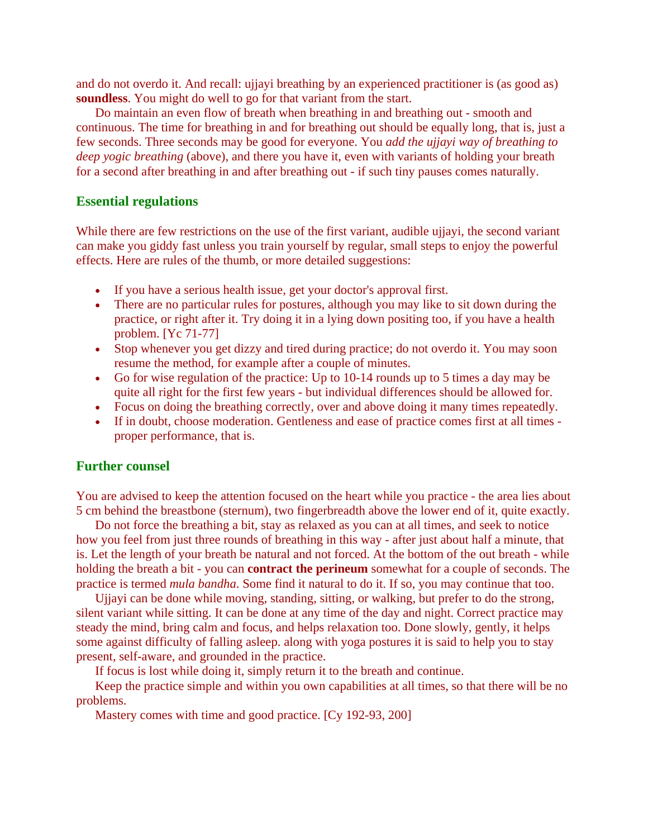and do not overdo it. And recall: ujjayi breathing by an experienced practitioner is (as good as) **soundless**. You might do well to go for that variant from the start.

 Do maintain an even flow of breath when breathing in and breathing out - smooth and continuous. The time for breathing in and for breathing out should be equally long, that is, just a few seconds. Three seconds may be good for everyone. You *add the ujjayi way of breathing to deep yogic breathing* (above), and there you have it, even with variants of holding your breath for a second after breathing in and after breathing out - if such tiny pauses comes naturally.

#### **Essential regulations**

While there are few restrictions on the use of the first variant, audible ujjayi, the second variant can make you giddy fast unless you train yourself by regular, small steps to enjoy the powerful effects. Here are rules of the thumb, or more detailed suggestions:

- If you have a serious health issue, get your doctor's approval first.
- There are no particular rules for postures, although you may like to sit down during the practice, or right after it. Try doing it in a lying down positing too, if you have a health problem. [Yc 71-77]
- Stop whenever you get dizzy and tired during practice; do not overdo it. You may soon resume the method, for example after a couple of minutes.
- Go for wise regulation of the practice: Up to 10-14 rounds up to 5 times a day may be quite all right for the first few years - but individual differences should be allowed for.
- Focus on doing the breathing correctly, over and above doing it many times repeatedly.
- If in doubt, choose moderation. Gentleness and ease of practice comes first at all times proper performance, that is.

#### **Further counsel**

You are advised to keep the attention focused on the heart while you practice - the area lies about 5 cm behind the breastbone (sternum), two fingerbreadth above the lower end of it, quite exactly.

 Do not force the breathing a bit, stay as relaxed as you can at all times, and seek to notice how you feel from just three rounds of breathing in this way - after just about half a minute, that is. Let the length of your breath be natural and not forced. At the bottom of the out breath - while holding the breath a bit - you can **contract the perineum** somewhat for a couple of seconds. The practice is termed *mula bandha*. Some find it natural to do it. If so, you may continue that too.

 Ujjayi can be done while moving, standing, sitting, or walking, but prefer to do the strong, silent variant while sitting. It can be done at any time of the day and night. Correct practice may steady the mind, bring calm and focus, and helps relaxation too. Done slowly, gently, it helps some against difficulty of falling asleep. along with yoga postures it is said to help you to stay present, self-aware, and grounded in the practice.

If focus is lost while doing it, simply return it to the breath and continue.

 Keep the practice simple and within you own capabilities at all times, so that there will be no problems.

Mastery comes with time and good practice. [Cy 192-93, 200]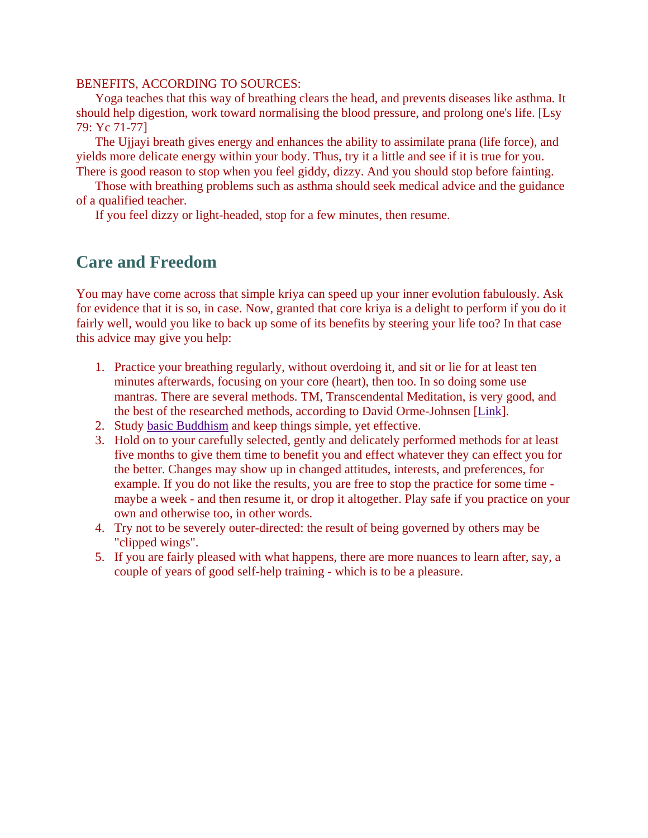#### BENEFITS, ACCORDING TO SOURCES:

 Yoga teaches that this way of breathing clears the head, and prevents diseases like asthma. It should help digestion, work toward normalising the blood pressure, and prolong one's life. [Lsy 79: Yc 71-77]

 The Ujjayi breath gives energy and enhances the ability to assimilate prana (life force), and yields more delicate energy within your body. Thus, try it a little and see if it is true for you. There is good reason to stop when you feel giddy, dizzy. And you should stop before fainting.

 Those with breathing problems such as asthma should seek medical advice and the guidance of a qualified teacher.

If you feel dizzy or light-headed, stop for a few minutes, then resume.

## **Care and Freedom**

You may have come across that simple kriya can speed up your inner evolution fabulously. Ask for evidence that it is so, in case. Now, granted that core kriya is a delight to perform if you do it fairly well, would you like to back up some of its benefits by steering your life too? In that case this advice may give you help:

- 1. Practice your breathing regularly, without overdoing it, and sit or lie for at least ten minutes afterwards, focusing on your core (heart), then too. In so doing some use mantras. There are several methods. TM, Transcendental Meditation, is very good, and the best of the researched methods, according to David Orme-Johnsen [[Link](http://oaks.nvg.org/%3ca%20href=)].
- 2. Study [basic Buddhism](http://oaks.nvg.org/sobud.html) and keep things simple, yet effective.
- 3. Hold on to your carefully selected, gently and delicately performed methods for at least five months to give them time to benefit you and effect whatever they can effect you for the better. Changes may show up in changed attitudes, interests, and preferences, for example. If you do not like the results, you are free to stop the practice for some time maybe a week - and then resume it, or drop it altogether. Play safe if you practice on your own and otherwise too, in other words.
- 4. Try not to be severely outer-directed: the result of being governed by others may be "clipped wings".
- 5. If you are fairly pleased with what happens, there are more nuances to learn after, say, a couple of years of good self-help training - which is to be a pleasure.